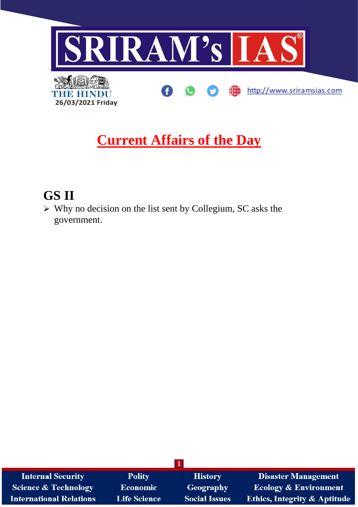

## **Current Affairs of the Day**

## **GS II**

➢ Why no decision on the list sent by Collegium, SC asks the government.

| <b>Internal Security</b>        | <b>Polity</b>       | <b>History</b>       | <b>Disaster Management</b>              |
|---------------------------------|---------------------|----------------------|-----------------------------------------|
| <b>Science &amp; Technology</b> | Economic            | Geography            | <b>Ecology &amp; Environment</b>        |
| <b>International Relations</b>  | <b>Life Science</b> | <b>Social Issues</b> | <b>Ethics, Integrity &amp; Aptitude</b> |